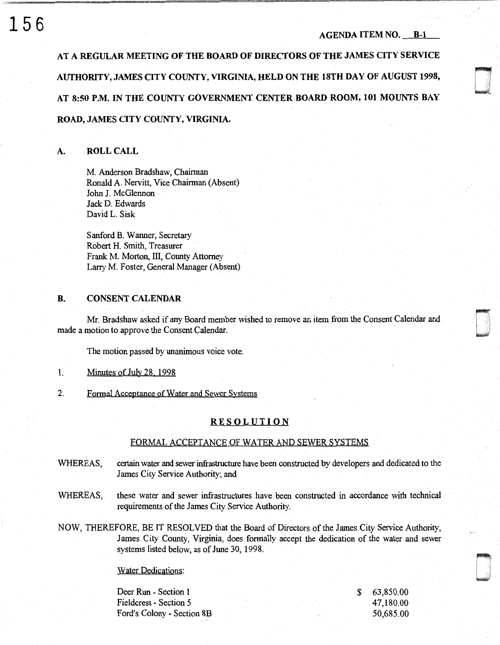~ <u>u</u>

**AT A REGULAR MEETING OF THE BOARD OF DIRECTORS OF THE JAMES CITY SERVICE AUTHORITY, JAMES CITY COUNTY, VIRGINIA, HELD ON THE 18TH DAY OF AUGUST 1998, AT 8:50 P.M. IN THE COUNTY GOVERNMENT CENTER BOARD ROOM, 101 MOUNTS BAY ROAD, JAMES CITY COUNTY, VIRGINIA.** 

## **A. ROLL CALL**

M. Anderson Bradshaw, Chairman Ronald A. Nervitt, Vice Chairman (Absent) John J. McGlennon Jack **D.** Edwards David L. Sisk

Sanford **B.** Wanner, Secretary Robert H. Smith, Treasurer Frank M. Morton, III, County Attorney Larry M. Foster, General Manager (Absent)

## **B. CONSENT CALENDAR**

Mr. Bradshaw asked if any Board member wished to remove an item from the Consent Calendar and made a motion to approve the Consent Calendar.

The motion passed by unanimous voice vote.

- 1. Minutes of July 28. 1998
- 2. Formal Acceptance of Water and Sewer Svstems

#### **RESOLUTION**

#### FORMAL ACCEPTANCE OF WATER AND SEWER SYSTEMS

- WHEREAS, certain water and sewer infrastructure have been constructed by developers and dedicated to the James City Service Authority; and
- WHEREAS, these water and sewer infrastructures have been constructed in accordance with technical requirements of the James City Service Authority.
- NOW, THEREFORE, BE IT RESOLVED that the Board of Directors of the James City Service Authority, James City County, Virginia, does formally accept the dedication of the water and sewer systems listed below, as of June 30, 1998.

## Water Dedications:

Deer Run - Section **1**  Fieldcrest - Section 5 Ford's Colony - Section 8B \$ 63,850.00 47,180.00 50,685.00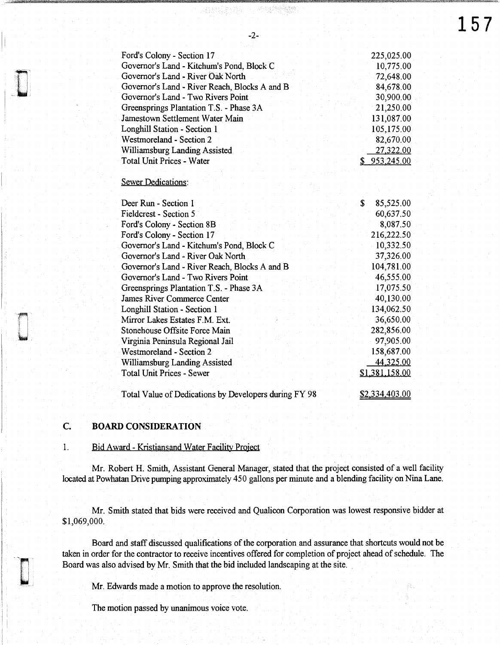**157** 

· 4.47指字:"哈哈· 11-11":"哈哈哈哈哈

| Ford's Colony - Section 17                    | 225,025.00   |
|-----------------------------------------------|--------------|
| Governor's Land - Kitchum's Pond, Block C     | 10,775.00    |
| Governor's Land - River Oak North             | 72,648.00    |
| Governor's Land - River Reach, Blocks A and B | 84,678.00    |
| Governor's Land - Two Rivers Point            | 30,900.00    |
| Greensprings Plantation T.S. - Phase 3A       | 21,250.00    |
| Jamestown Settlement Water Main               | 131,087.00   |
| Longhill Station - Section 1                  | 105,175.00   |
| Westmoreland - Section 2                      | 82,670.00    |
| Williamsburg Landing Assisted                 | 27,322.00    |
| <b>Total Unit Prices - Water</b>              | \$953,245.00 |
|                                               |              |

#### Sewer Dedications:

| Deer Run - Section 1                                  | S | 85,525.00      |
|-------------------------------------------------------|---|----------------|
| Fieldcrest - Section 5                                |   | 60,637.50      |
| Ford's Colony - Section 8B                            |   | 8,087.50       |
| Ford's Colony - Section 17                            |   | 216,222.50     |
| Governor's Land - Kitchum's Pond, Block C             |   | 10,332.50      |
| Governor's Land - River Oak North                     |   | 37,326.00      |
| Governor's Land - River Reach, Blocks A and B         |   | 104,781.00     |
| Governor's Land - Two Rivers Point                    |   | 46,555.00      |
| Greensprings Plantation T.S. - Phase 3A               |   | 17,075.50      |
| James River Commerce Center                           |   | 40,130.00      |
| Longhill Station - Section 1                          |   | 134,062.50     |
| Mirror Lakes Estates F.M. Ext.                        |   | 36,650.00      |
| Stonehouse Offsite Force Main                         |   | 282,856.00     |
| Virginia Peninsula Regional Jail                      |   | 97,905.00      |
| Westmoreland - Section 2                              |   | 158,687.00     |
| Williamsburg Landing Assisted                         |   | 44,325.00      |
| <b>Total Unit Prices - Sewer</b>                      |   | \$1,381,158.00 |
|                                                       |   |                |
| Total Value of Dedications by Developers during FY 98 |   | \$2,334,403.00 |

## **C. BOARD CONSIDERATION**

## 1. Bid Award- Kristiansand Water Facility Project

Mr. Robert H. Smith, Assistant General Manager, stated that the project consisted of a well facility located at Powhatan Drive pumping approximately 450 gallons per minute and a blending facility on Nina Lane.

Mr. Smith stated that bids were received and Qualicon Corporation was lowest responsive bidder at \$1,069,000.

Board and staff discussed qualifications of the corporation and assurance that shortcuts would not be taken in order for the contractor to receive incentives offered for completion of project ahead of schedule. The Board was also advised by Mr. Smith that the bid included landscaping at the site.

Mr. Edwards made a motion to approve the resolution.

The motion passed by unanimous voice vote.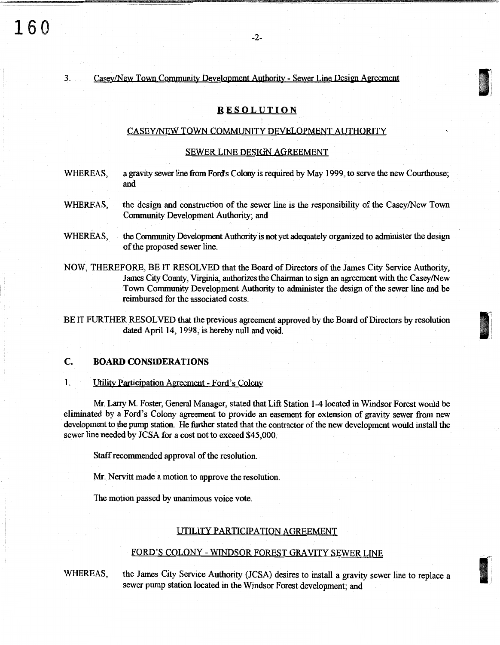# 3. Casey/New Town Community Development Authority - Sewer Line Design Agreement

## **RESOLUTION**

1 1

'. *\_)* 

#### CASEY/NEW TOWN COMMUNITY DEVELOPMENT AUTHORITY

#### SEWER LINE DESIGN AGREEMENT

- WHEREAS, a gravity sewer line from Ford's Colony is required by May 1999, to serve the new Courthouse; and
- WHEREAS, the design and construction of the sewer line is the responsibility of the Casey/New Town Community Development Authority; and
- WHEREAS, the Community Development Authority is not yet adequately organized to administer the design of the proposed sewer line.
- NOW, THEREFORE, BE IT RESOLVED that the Board of Directors of the James City Service Authority, James City County, Virginia, authorizes the Chairman to sign an agreement with the Casey/New Town Community Development Authority to administer the design of the sewer line and be reimbursed for the associated costs.

BE IT FURTHER RESOLVED that the previous agreement approved by the Board of Directors by resolution dated April 14, 1998, is hereby null and void.

## C. BOARD CONSIDERATIONS

1. Utility Participation Agreement - Ford's Colony

Mr. Larry M. Foster, General Manager, stated that Lift Station 1-4 located in Windsor Forest would be eliminated by a Ford's Colony agreement to provide an easement for extension of gravity sewer from new development to the pump station. He further stated that the contractor of the new development would install the sewer line needed by JCSA for a cost not to exceed \$45,000.

Staff recommended approval of the resolution.

Mr. Nervitt made a motion to approve the resolution.

The motion passed by unanimous voice vote.

#### UTILITY PARTICIPATION AGREEMENT

## FORD'S COLONY - WINDSOR FOREST GRAVITY SEWER LINE

WHEREAS, the James City Service Authority (JCSA) desires to install a gravity sewer line to replace a sewer pump station located in the Windsor Forest development; and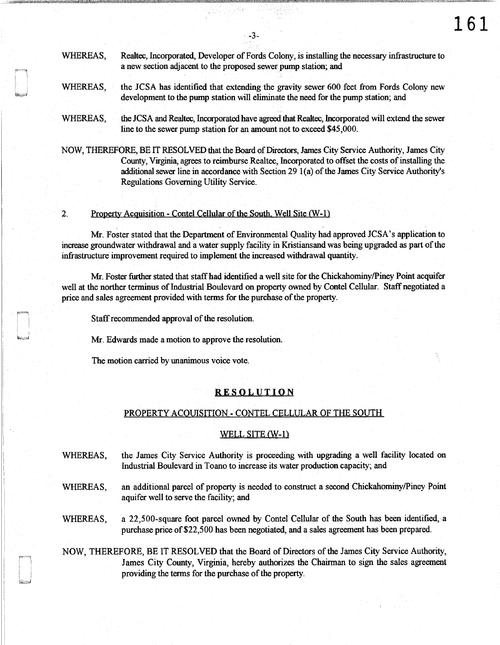## WHEREAS, Realtec, fucorporated, Developer of Fords Colony, is installing the necessary infrastructure to a new section adjacent to the proposed sewer pump station; and

- WHEREAS, the JCSA has identified that extending the gravity sewer 600 feet from Fords Colony new development to the pump station will eliminate the need for the pump station; and
- WHEREAS, the JCSA and Realtec, Incorporated have agreed that Realtec, Incorporated will extend the sewer line to the sewer pump station for an amount not to exceed \$45,000.

NOW, THEREFORE, BE IT RESOLVED that the Board of Directors, James City Service Authority, James City County, Virginia, agrees to reimburse Realtec, fucorporated to offset the costs of installing the additional sewer line in accordance with Section 29 l{a) of the James City Service Authority's Regulations Governing Utility Service.

2. Property Acquisition - Contel Cellular of the South. Well Site  $(W-1)$ 

Mr. Foster stated that the Department of Environmental Quality had approved JCSA's application to increase groundwater withdrawal and a water supply facility in Kristiansand was being upgraded as part of the infrastructure improvement required to implement the increased withdrawal quantity.

Mr. Foster further stated that staff had identified a well site for the Chickahominy/Piney Point acquifer well at the norther terminus of Industrial Boulevard on property owned by Contel Cellular. Staff negotiated a price and sales agreement provided with terms for the purchase of the property.

Staff recommended approval of the resolution.

Mr. Edwards made a motion to approve the resolution.

The motion carried by unanimous voice vote.

#### **RESOLUTION**

#### PROPERTY ACQUISITION - CONTEL CELLULAR OF THE SOUTH

#### WELL SITE  $(W-1)$

- WHEREAS, the James City Service Authority is proceeding with upgrading a well facility located on Industrial Boulevard in Toano to increase its water production capacity; and
- WHEREAS, an additional parcel of property is needed to construct a second Chickahominy/Piney Point aquifer well to serve the facility; and
- WHEREAS, a 22,500-square foot parcel owned by Contel Cellular of the South has been identified, a purchase price of \$22,500 has been negotiated, and a sales agreement has been prepared.

NOW, THEREFORE, BE IT RESOLVED that the Board of Directors of the James City Service Authority, James City County, Virginia, hereby authorizes the Chairman to sign the sales agreement providing the terms for the purchase of the property.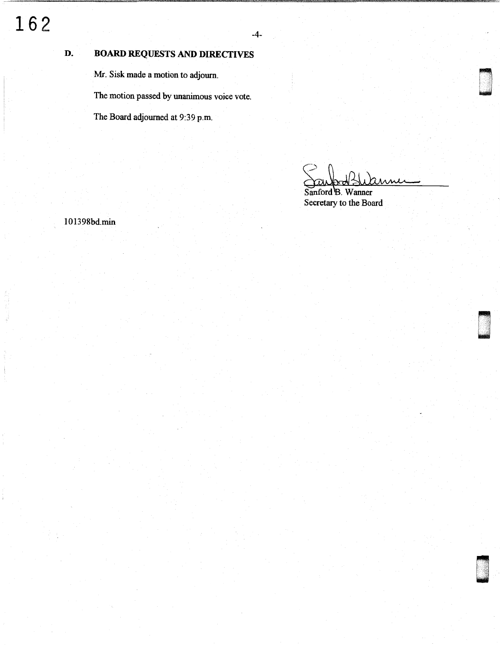## **D. BOARD REQUESTS AND DIRECTIVES**

Mr. Sisk made a motion to adjourn.

The motion passed by unanimous voice vote.

The Board adjourned at 9:39 p.m.

. tt

00

~ u<br>umumiy katalog asl nashrida<br>umumiy katalog asl nashrida

u "<br>u " "

Sanford B. Wanner Secretary to the Board

IO 1398bd.min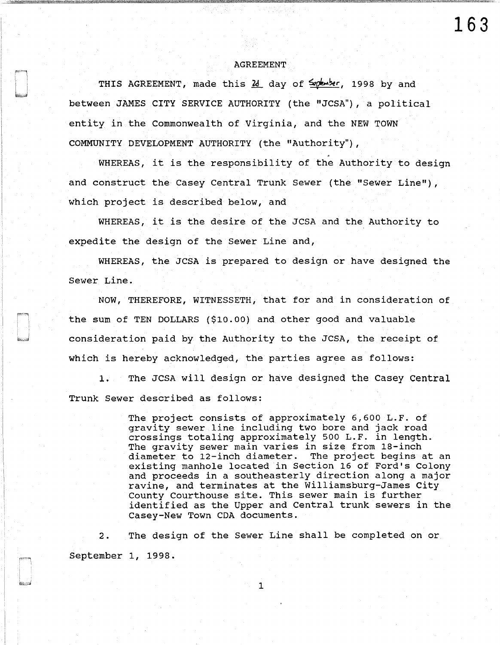#### AGREEMENT

**163** 

THIS AGREEMENT, made this  $\frac{\lambda}{2}$  day of  $\frac{2}{\lambda}$  and the 1998 by and between JAMES CITY SERVICE AUTHORITY (the "JCSA"), a political entity in the Commonwealth of Virginia, and the NEW TOWN COMMUNITY DEVELOPMENT AUTHORITY (the "Authority") ,

WHEREAS, it is the responsibility of the Authority to design and construct the Casey Central Trunk Sewer (the "Sewer Line"), which project is described below, and

WHEREAS, it is the desire of the JCSA and the Authority to expedite the design of the Sewer Line and,

WHEREAS, the JCSA is prepared to design or have designed the Sewer Line.

NOW, THEREFORE, WITNESSETH, that for and in consideration of the sum of TEN DOLLARS (\$10.00) and other good and valuable consideration paid by the Authority to the JCSA, the receipt of which is hereby acknowledged, the parties agree as follows:

1. The JCSA will design or have designed the Casey Central Trunk Sewer described as follows:

> The project consists of approximately 6,600 L.F. of gravity sewer line including two bore and jack road crossings totaling approximately 500 L.F. in length. The gravity sewer main varies in size from 18-inch diameter to 12-inch diameter. The project begins at an existing manhole located in Section 16 of Ford's Colony and proceeds in a southeasterly direction along a major ravine, and terminates at the Williamsburg-James City County Courthouse site. This sewer main is further identified as the Upper and Central trunk sewers in the Casey-New Town CDA documents.

2. The design of the Sewer Line shall be completed on or September 1, 1998.

1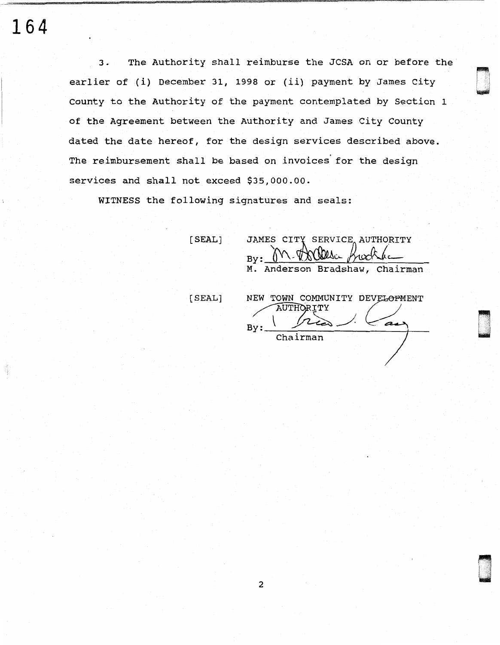**164** 

3. The Authority shall reimburse the JCSA on or before the earlier of (i) December 31, 1998 or (ii) payment by James City County to the Authority of the payment contemplated by Section <sup>1</sup> of the Agreement between the Authority and James City County dated the date hereof, for the design services described above. The reimbursement shall be based on invoices' for the design services and shall not exceed \$35,000.00.

WITNESS the following signatures and seals:

[SEAL]

[SEAL]

 $By: _0N.$  To Welse Buckha M. Anderson Bradshaw, Chairman NEW TOWN COMMUNITY DEVELOPMENT  $\mathsf{B} \mathsf{X}$  :  $\_\_$ OWN COMMUNITY DEVELOPMENT<br>AUTHORITY<br>Chairman ?

ri u<br>u bilin

,·,~: I· .. ··.·.:·'.· I , <sup>J</sup>,-,\_;::

JAMES CITY SERVICE AUTHORITY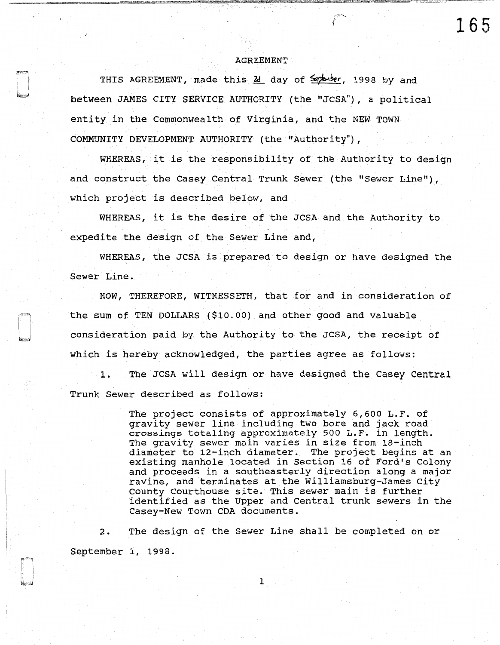#### AGREEMENT

**165** 

THIS AGREEMENT, made this  $\frac{\partial}{\partial t}$  day of  $\frac{2}{\sqrt{2}}$  and between JAMES CITY SERVICE AUTHORITY (the "JCSA"), a political entity in the Commonwealth of Virginia, and the NEW TOWN COMMUNITY DEVELOPMENT AUTHORITY (the "Authority"),

WHEREAS, it is the responsibility of the Authority to design and construct the Casey Central Trunk Sewer (the "Sewer Line"), which project is described below, and

WHEREAS, it is the desire of the JCSA and the Authority to expedite the design of the Sewer Line and,

WHEREAS, the JCSA is prepared to design or have designed the Sewer Line.

NOW, THEREFORE, WITNESSETH, that for and in consideration of the sum of TEN DOLLARS (\$10.00) and other good and valuable consideration paid by the Authority to the JCSA, the receipt of which is hereby acknowledged, the parties agree as follows:

1. The JCSA will design or have designed the Casey Central Trunk Sewer described as follows:

> The project consists of approximately 6,600 L.F. of gravity sewer line including two bore and jack road crossings totaling approximately 500 L.F. in length. The gravity sewer main varies in size from 18-inch diameter to 12-inch diameter. The project begins at an existing manhole located in Section 16 of Ford's Colony and proceeds in a southeasterly direction along a major ravine, and terminates at the Williamsburg-James City County Courthouse site. This sewer main is further identified as the Upper and Central trunk sewers in the Casey-New Town CDA documents.

2. The design of the Sewer Line shall be completed on or September 1, 1998.

1